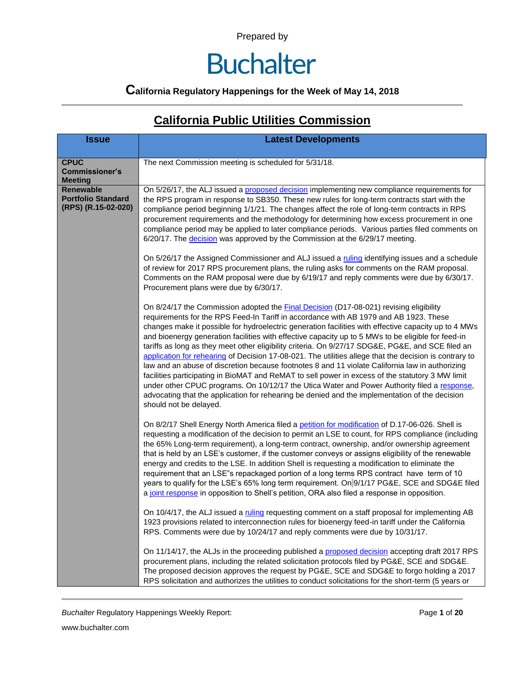## **Buchalter**

### **California Regulatory Happenings for the Week of May 14, 2018**

#### **California Public Utilities Commission**

| <b>Issue</b>                                                         | <b>Latest Developments</b>                                                                                                                                                                                                                                                                                                                                                                                                                                                                                                                                                                                                                                                                                                                                                                                                                                                                                                                                                                                                                             |
|----------------------------------------------------------------------|--------------------------------------------------------------------------------------------------------------------------------------------------------------------------------------------------------------------------------------------------------------------------------------------------------------------------------------------------------------------------------------------------------------------------------------------------------------------------------------------------------------------------------------------------------------------------------------------------------------------------------------------------------------------------------------------------------------------------------------------------------------------------------------------------------------------------------------------------------------------------------------------------------------------------------------------------------------------------------------------------------------------------------------------------------|
| <b>CPUC</b><br><b>Commissioner's</b><br><b>Meeting</b>               | The next Commission meeting is scheduled for 5/31/18.                                                                                                                                                                                                                                                                                                                                                                                                                                                                                                                                                                                                                                                                                                                                                                                                                                                                                                                                                                                                  |
| <b>Renewable</b><br><b>Portfolio Standard</b><br>(RPS) (R.15-02-020) | On 5/26/17, the ALJ issued a proposed decision implementing new compliance requirements for<br>the RPS program in response to SB350. These new rules for long-term contracts start with the<br>compliance period beginning 1/1/21. The changes affect the role of long-term contracts in RPS<br>procurement requirements and the methodology for determining how excess procurement in one<br>compliance period may be applied to later compliance periods. Various parties filed comments on<br>6/20/17. The decision was approved by the Commission at the 6/29/17 meeting.<br>On 5/26/17 the Assigned Commissioner and ALJ issued a ruling identifying issues and a schedule<br>of review for 2017 RPS procurement plans, the ruling asks for comments on the RAM proposal.                                                                                                                                                                                                                                                                         |
|                                                                      | Comments on the RAM proposal were due by 6/19/17 and reply comments were due by 6/30/17.<br>Procurement plans were due by 6/30/17.                                                                                                                                                                                                                                                                                                                                                                                                                                                                                                                                                                                                                                                                                                                                                                                                                                                                                                                     |
|                                                                      | On 8/24/17 the Commission adopted the <b>Final Decision</b> (D17-08-021) revising eligibility<br>requirements for the RPS Feed-In Tariff in accordance with AB 1979 and AB 1923. These<br>changes make it possible for hydroelectric generation facilities with effective capacity up to 4 MWs<br>and bioenergy generation facilities with effective capacity up to 5 MWs to be eligible for feed-in<br>tariffs as long as they meet other eligibility criteria. On 9/27/17 SDG&E, PG&E, and SCE filed an<br>application for rehearing of Decision 17-08-021. The utilities allege that the decision is contrary to<br>law and an abuse of discretion because footnotes 8 and 11 violate California law in authorizing<br>facilities participating in BioMAT and ReMAT to sell power in excess of the statutory 3 MW limit<br>under other CPUC programs. On 10/12/17 the Utica Water and Power Authority filed a response,<br>advocating that the application for rehearing be denied and the implementation of the decision<br>should not be delayed. |
|                                                                      | On 8/2/17 Shell Energy North America filed a petition for modification of D.17-06-026. Shell is<br>requesting a modification of the decision to permit an LSE to count, for RPS compliance (including<br>the 65% Long-term requirement), a long-term contract, ownership, and/or ownership agreement<br>that is held by an LSE's customer, if the customer conveys or assigns eligibility of the renewable<br>energy and credits to the LSE. In addition Shell is requesting a modification to eliminate the<br>requirement that an LSE"s repackaged portion of a long terms RPS contract have term of 10<br>years to qualify for the LSE's 65% long term requirement. On 9/1/17 PG&E, SCE and SDG&E filed<br>a joint response in opposition to Shell's petition, ORA also filed a response in opposition.                                                                                                                                                                                                                                             |
|                                                                      | On 10/4/17, the ALJ issued a ruling requesting comment on a staff proposal for implementing AB<br>1923 provisions related to interconnection rules for bioenergy feed-in tariff under the California<br>RPS. Comments were due by 10/24/17 and reply comments were due by 10/31/17.                                                                                                                                                                                                                                                                                                                                                                                                                                                                                                                                                                                                                                                                                                                                                                    |
|                                                                      | On 11/14/17, the ALJs in the proceeding published a proposed decision accepting draft 2017 RPS<br>procurement plans, including the related solicitation protocols filed by PG&E, SCE and SDG&E.<br>The proposed decision approves the request by PG&E, SCE and SDG&E to forgo holding a 2017<br>RPS solicitation and authorizes the utilities to conduct solicitations for the short-term (5 years or                                                                                                                                                                                                                                                                                                                                                                                                                                                                                                                                                                                                                                                  |

**Buchalter Regulatory Happenings Weekly Report:** Page 1 of 20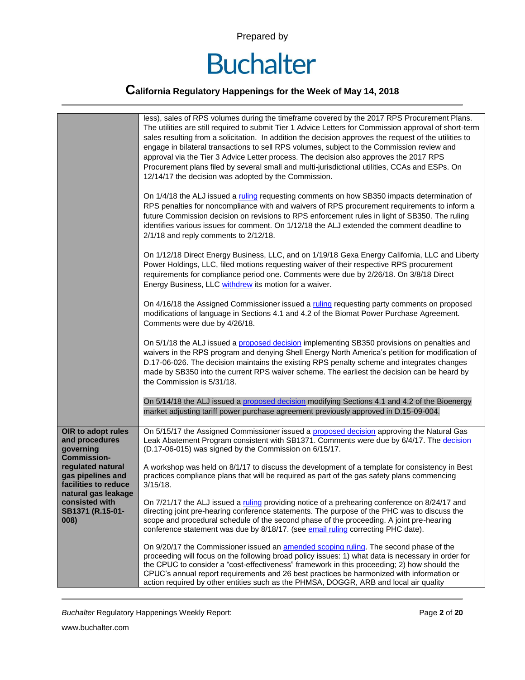

### **California Regulatory Happenings for the Week of May 14, 2018**

|                                                                                                                                     | less), sales of RPS volumes during the timeframe covered by the 2017 RPS Procurement Plans.                                                                                                                                                                                                                                                                                                                                                                                      |
|-------------------------------------------------------------------------------------------------------------------------------------|----------------------------------------------------------------------------------------------------------------------------------------------------------------------------------------------------------------------------------------------------------------------------------------------------------------------------------------------------------------------------------------------------------------------------------------------------------------------------------|
|                                                                                                                                     | The utilities are still required to submit Tier 1 Advice Letters for Commission approval of short-term                                                                                                                                                                                                                                                                                                                                                                           |
|                                                                                                                                     | sales resulting from a solicitation. In addition the decision approves the request of the utilities to<br>engage in bilateral transactions to sell RPS volumes, subject to the Commission review and                                                                                                                                                                                                                                                                             |
|                                                                                                                                     | approval via the Tier 3 Advice Letter process. The decision also approves the 2017 RPS                                                                                                                                                                                                                                                                                                                                                                                           |
|                                                                                                                                     | Procurement plans filed by several small and multi-jurisdictional utilities, CCAs and ESPs. On                                                                                                                                                                                                                                                                                                                                                                                   |
|                                                                                                                                     | 12/14/17 the decision was adopted by the Commission.                                                                                                                                                                                                                                                                                                                                                                                                                             |
|                                                                                                                                     | On 1/4/18 the ALJ issued a ruling requesting comments on how SB350 impacts determination of<br>RPS penalties for noncompliance with and waivers of RPS procurement requirements to inform a<br>future Commission decision on revisions to RPS enforcement rules in light of SB350. The ruling<br>identifies various issues for comment. On 1/12/18 the ALJ extended the comment deadline to<br>2/1/18 and reply comments to 2/12/18.                                             |
|                                                                                                                                     | On 1/12/18 Direct Energy Business, LLC, and on 1/19/18 Gexa Energy California, LLC and Liberty<br>Power Holdings, LLC, filed motions requesting waiver of their respective RPS procurement<br>requirements for compliance period one. Comments were due by 2/26/18. On 3/8/18 Direct<br>Energy Business, LLC withdrew its motion for a waiver.                                                                                                                                   |
|                                                                                                                                     | On 4/16/18 the Assigned Commissioner issued a ruling requesting party comments on proposed<br>modifications of language in Sections 4.1 and 4.2 of the Biomat Power Purchase Agreement.<br>Comments were due by 4/26/18.                                                                                                                                                                                                                                                         |
|                                                                                                                                     | On 5/1/18 the ALJ issued a proposed decision implementing SB350 provisions on penalties and<br>waivers in the RPS program and denying Shell Energy North America's petition for modification of<br>D.17-06-026. The decision maintains the existing RPS penalty scheme and integrates changes<br>made by SB350 into the current RPS waiver scheme. The earliest the decision can be heard by<br>the Commission is 5/31/18.                                                       |
|                                                                                                                                     | On 5/14/18 the ALJ issued a proposed decision modifying Sections 4.1 and 4.2 of the Bioenergy<br>market adjusting tariff power purchase agreement previously approved in D.15-09-004.                                                                                                                                                                                                                                                                                            |
| OIR to adopt rules<br>and procedures<br>governing<br><b>Commission-</b>                                                             | On 5/15/17 the Assigned Commissioner issued a proposed decision approving the Natural Gas<br>Leak Abatement Program consistent with SB1371. Comments were due by 6/4/17. The decision<br>(D.17-06-015) was signed by the Commission on 6/15/17.                                                                                                                                                                                                                                  |
| regulated natural<br>gas pipelines and<br>facilities to reduce<br>natural gas leakage<br>consisted with<br>SB1371 (R.15-01-<br>008) | A workshop was held on 8/1/17 to discuss the development of a template for consistency in Best<br>practices compliance plans that will be required as part of the gas safety plans commencing<br>$3/15/18$ .                                                                                                                                                                                                                                                                     |
|                                                                                                                                     | On 7/21/17 the ALJ issued a ruling providing notice of a prehearing conference on 8/24/17 and<br>directing joint pre-hearing conference statements. The purpose of the PHC was to discuss the<br>scope and procedural schedule of the second phase of the proceeding. A joint pre-hearing<br>conference statement was due by 8/18/17. (see email ruling correcting PHC date).                                                                                                    |
|                                                                                                                                     | On 9/20/17 the Commissioner issued an amended scoping ruling. The second phase of the<br>proceeding will focus on the following broad policy issues: 1) what data is necessary in order for<br>the CPUC to consider a "cost-effectiveness" framework in this proceeding; 2) how should the<br>CPUC's annual report requirements and 26 best practices be harmonized with information or<br>action required by other entities such as the PHMSA, DOGGR, ARB and local air quality |

**Buchalter Regulatory Happenings Weekly Report:** Page 2 of 20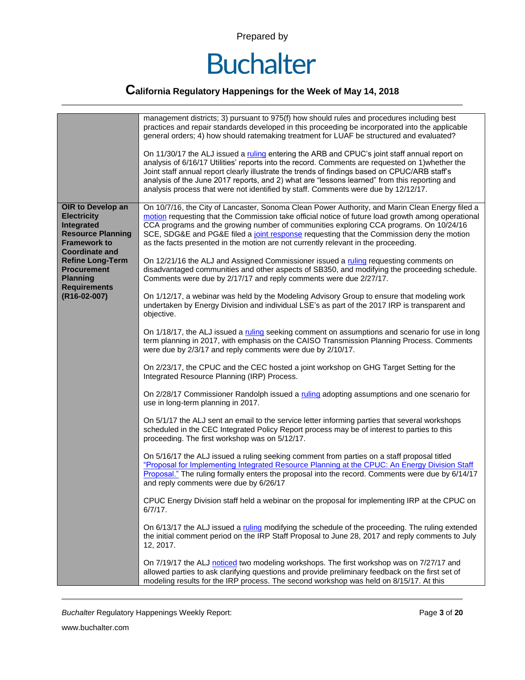

### **California Regulatory Happenings for the Week of May 14, 2018**

|                                                                                                                                                                                                                                                     | management districts; 3) pursuant to 975(f) how should rules and procedures including best<br>practices and repair standards developed in this proceeding be incorporated into the applicable<br>general orders; 4) how should ratemaking treatment for LUAF be structured and evaluated?<br>On 11/30/17 the ALJ issued a ruling entering the ARB and CPUC's joint staff annual report on<br>analysis of 6/16/17 Utilities' reports into the record. Comments are requested on 1) whether the<br>Joint staff annual report clearly illustrate the trends of findings based on CPUC/ARB staff's<br>analysis of the June 2017 reports, and 2) what are "lessons learned" from this reporting and<br>analysis process that were not identified by staff. Comments were due by 12/12/17.                                                                                                                                                                                                                                                                                                                                                                                                                                                                                                                                                                                                                                                                                                                                                                                                                                                                                                                                                                                                                                                                                                                                                                                                                                                                                                                                                                                                                                                                                                                                                                                                                                                                                                                                                                                                                                                                                                                                                  |
|-----------------------------------------------------------------------------------------------------------------------------------------------------------------------------------------------------------------------------------------------------|---------------------------------------------------------------------------------------------------------------------------------------------------------------------------------------------------------------------------------------------------------------------------------------------------------------------------------------------------------------------------------------------------------------------------------------------------------------------------------------------------------------------------------------------------------------------------------------------------------------------------------------------------------------------------------------------------------------------------------------------------------------------------------------------------------------------------------------------------------------------------------------------------------------------------------------------------------------------------------------------------------------------------------------------------------------------------------------------------------------------------------------------------------------------------------------------------------------------------------------------------------------------------------------------------------------------------------------------------------------------------------------------------------------------------------------------------------------------------------------------------------------------------------------------------------------------------------------------------------------------------------------------------------------------------------------------------------------------------------------------------------------------------------------------------------------------------------------------------------------------------------------------------------------------------------------------------------------------------------------------------------------------------------------------------------------------------------------------------------------------------------------------------------------------------------------------------------------------------------------------------------------------------------------------------------------------------------------------------------------------------------------------------------------------------------------------------------------------------------------------------------------------------------------------------------------------------------------------------------------------------------------------------------------------------------------------------------------------------------------|
| <b>OIR to Develop an</b><br><b>Electricity</b><br>Integrated<br><b>Resource Planning</b><br><b>Framework to</b><br><b>Coordinate and</b><br><b>Refine Long-Term</b><br><b>Procurement</b><br><b>Planning</b><br><b>Requirements</b><br>(R16-02-007) | On 10/7/16, the City of Lancaster, Sonoma Clean Power Authority, and Marin Clean Energy filed a<br>motion requesting that the Commission take official notice of future load growth among operational<br>CCA programs and the growing number of communities exploring CCA programs. On 10/24/16<br>SCE, SDG&E and PG&E filed a joint response requesting that the Commission deny the motion<br>as the facts presented in the motion are not currently relevant in the proceeding.<br>On 12/21/16 the ALJ and Assigned Commissioner issued a ruling requesting comments on<br>disadvantaged communities and other aspects of SB350, and modifying the proceeding schedule.<br>Comments were due by 2/17/17 and reply comments were due 2/27/17.<br>On 1/12/17, a webinar was held by the Modeling Advisory Group to ensure that modeling work<br>undertaken by Energy Division and individual LSE's as part of the 2017 IRP is transparent and<br>objective.<br>On 1/18/17, the ALJ issued a ruling seeking comment on assumptions and scenario for use in long<br>term planning in 2017, with emphasis on the CAISO Transmission Planning Process. Comments<br>were due by 2/3/17 and reply comments were due by 2/10/17.<br>On 2/23/17, the CPUC and the CEC hosted a joint workshop on GHG Target Setting for the<br>Integrated Resource Planning (IRP) Process.<br>On 2/28/17 Commissioner Randolph issued a ruling adopting assumptions and one scenario for<br>use in long-term planning in 2017.<br>On 5/1/17 the ALJ sent an email to the service letter informing parties that several workshops<br>scheduled in the CEC Integrated Policy Report process may be of interest to parties to this<br>proceeding. The first workshop was on 5/12/17.<br>On 5/16/17 the ALJ issued a ruling seeking comment from parties on a staff proposal titled<br>"Proposal for Implementing Integrated Resource Planning at the CPUC: An Energy Division Staff<br>Proposal." The ruling formally enters the proposal into the record. Comments were due by 6/14/17<br>and reply comments were due by 6/26/17<br>CPUC Energy Division staff held a webinar on the proposal for implementing IRP at the CPUC on<br>$6/7/17$ .<br>On 6/13/17 the ALJ issued a ruling modifying the schedule of the proceeding. The ruling extended<br>the initial comment period on the IRP Staff Proposal to June 28, 2017 and reply comments to July<br>12, 2017.<br>On 7/19/17 the ALJ noticed two modeling workshops. The first workshop was on 7/27/17 and<br>allowed parties to ask clarifying questions and provide preliminary feedback on the first set of<br>modeling results for the IRP process. The second workshop was held on 8/15/17. At this |

**Buchalter Regulatory Happenings Weekly Report:** Page 3 of 20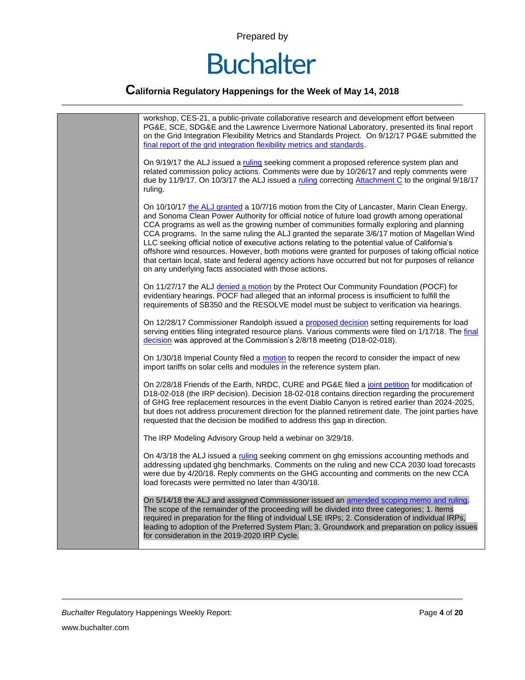

| workshop, CES-21, a public-private collaborative research and development effort between<br>PG&E, SCE, SDG&E and the Lawrence Livermore National Laboratory, presented its final report<br>on the Grid Integration Flexibility Metrics and Standards Project. On 9/12/17 PG&E submitted the<br>final report of the grid integration flexibility metrics and standards.                                                                                                                                                                                                                                                                                                                                                                                               |
|----------------------------------------------------------------------------------------------------------------------------------------------------------------------------------------------------------------------------------------------------------------------------------------------------------------------------------------------------------------------------------------------------------------------------------------------------------------------------------------------------------------------------------------------------------------------------------------------------------------------------------------------------------------------------------------------------------------------------------------------------------------------|
| On 9/19/17 the ALJ issued a ruling seeking comment a proposed reference system plan and<br>related commission policy actions. Comments were due by 10/26/17 and reply comments were<br>due by 11/9/17. On 10/3/17 the ALJ issued a ruling correcting Attachment C to the original 9/18/17<br>ruling.                                                                                                                                                                                                                                                                                                                                                                                                                                                                 |
| On 10/10/17 the ALJ granted a 10/7/16 motion from the City of Lancaster, Marin Clean Energy,<br>and Sonoma Clean Power Authority for official notice of future load growth among operational<br>CCA programs as well as the growing number of communities formally exploring and planning<br>CCA programs. In the same ruling the ALJ granted the separate 3/6/17 motion of Magellan Wind<br>LLC seeking official notice of executive actions relating to the potential value of California's<br>offshore wind resources. However, both motions were granted for purposes of taking official notice<br>that certain local, state and federal agency actions have occurred but not for purposes of reliance<br>on any underlying facts associated with those actions. |
| On 11/27/17 the ALJ denied a motion by the Protect Our Community Foundation (POCF) for<br>evidentiary hearings. POCF had alleged that an informal process is insufficient to fulfill the<br>requirements of SB350 and the RESOLVE model must be subject to verification via hearings.                                                                                                                                                                                                                                                                                                                                                                                                                                                                                |
| On 12/28/17 Commissioner Randolph issued a proposed decision setting requirements for load<br>serving entities filing integrated resource plans. Various comments were filed on 1/17/18. The final<br>decision was approved at the Commission's 2/8/18 meeting (D18-02-018).                                                                                                                                                                                                                                                                                                                                                                                                                                                                                         |
| On 1/30/18 Imperial County filed a motion to reopen the record to consider the impact of new<br>import tariffs on solar cells and modules in the reference system plan.                                                                                                                                                                                                                                                                                                                                                                                                                                                                                                                                                                                              |
| On 2/28/18 Friends of the Earth, NRDC, CURE and PG&E filed a joint petition for modification of<br>D18-02-018 (the IRP decision). Decision 18-02-018 contains direction regarding the procurement<br>of GHG free replacement resources in the event Diablo Canyon is retired earlier than 2024-2025,<br>but does not address procurement direction for the planned retirement date. The joint parties have<br>requested that the decision be modified to address this gap in direction.                                                                                                                                                                                                                                                                              |
| The IRP Modeling Advisory Group held a webinar on 3/29/18.                                                                                                                                                                                                                                                                                                                                                                                                                                                                                                                                                                                                                                                                                                           |
| On 4/3/18 the ALJ issued a ruling seeking comment on ghg emissions accounting methods and<br>addressing updated ghg benchmarks. Comments on the ruling and new CCA 2030 load forecasts<br>were due by 4/20/18. Reply comments on the GHG accounting and comments on the new CCA<br>load forecasts were permitted no later than 4/30/18.                                                                                                                                                                                                                                                                                                                                                                                                                              |
| On 5/14/18 the ALJ and assigned Commissioner issued an amended scoping memo and ruling.<br>The scope of the remainder of the proceeding will be divided into three categories; 1. Items<br>required in preparation for the filing of individual LSE IRPs; 2. Consideration of individual IRPs,<br>leading to adoption of the Preferred System Plan; 3. Groundwork and preparation on policy issues<br>for consideration in the 2019-2020 IRP Cycle.                                                                                                                                                                                                                                                                                                                  |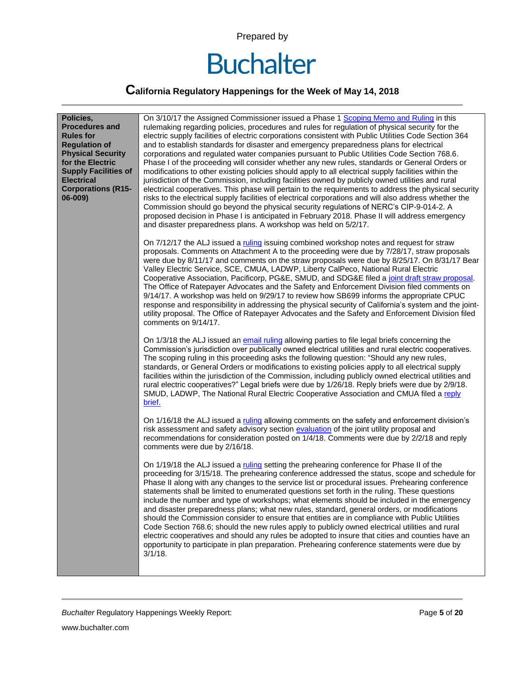

| Policies,<br><b>Procedures and</b><br><b>Rules for</b><br><b>Regulation of</b><br><b>Physical Security</b>   | On 3/10/17 the Assigned Commissioner issued a Phase 1 Scoping Memo and Ruling in this<br>rulemaking regarding policies, procedures and rules for regulation of physical security for the<br>electric supply facilities of electric corporations consistent with Public Utilities Code Section 364<br>and to establish standards for disaster and emergency preparedness plans for electrical<br>corporations and regulated water companies pursuant to Public Utilities Code Section 768.6.                                                                                                                                                                                                                                                                                                                                                                                                                                                                                                                        |
|--------------------------------------------------------------------------------------------------------------|--------------------------------------------------------------------------------------------------------------------------------------------------------------------------------------------------------------------------------------------------------------------------------------------------------------------------------------------------------------------------------------------------------------------------------------------------------------------------------------------------------------------------------------------------------------------------------------------------------------------------------------------------------------------------------------------------------------------------------------------------------------------------------------------------------------------------------------------------------------------------------------------------------------------------------------------------------------------------------------------------------------------|
| for the Electric<br><b>Supply Facilities of</b><br><b>Electrical</b><br><b>Corporations (R15-</b><br>06-009) | Phase I of the proceeding will consider whether any new rules, standards or General Orders or<br>modifications to other existing policies should apply to all electrical supply facilities within the<br>jurisdiction of the Commission, including facilities owned by publicly owned utilities and rural<br>electrical cooperatives. This phase will pertain to the requirements to address the physical security<br>risks to the electrical supply facilities of electrical corporations and will also address whether the<br>Commission should go beyond the physical security regulations of NERC's CIP-9-014-2. A<br>proposed decision in Phase I is anticipated in February 2018. Phase II will address emergency<br>and disaster preparedness plans. A workshop was held on 5/2/17.                                                                                                                                                                                                                         |
|                                                                                                              | On 7/12/17 the ALJ issued a ruling issuing combined workshop notes and request for straw<br>proposals. Comments on Attachment A to the proceeding were due by 7/28/17, straw proposals<br>were due by 8/11/17 and comments on the straw proposals were due by 8/25/17. On 8/31/17 Bear<br>Valley Electric Service, SCE, CMUA, LADWP, Liberty CalPeco, National Rural Electric<br>Cooperative Association, Pacificorp, PG&E, SMUD, and SDG&E filed a joint draft straw proposal.<br>The Office of Ratepayer Advocates and the Safety and Enforcement Division filed comments on<br>9/14/17. A workshop was held on 9/29/17 to review how SB699 informs the appropriate CPUC<br>response and responsibility in addressing the physical security of California's system and the joint-<br>utility proposal. The Office of Ratepayer Advocates and the Safety and Enforcement Division filed<br>comments on 9/14/17.                                                                                                   |
|                                                                                                              | On 1/3/18 the ALJ issued an email ruling allowing parties to file legal briefs concerning the<br>Commission's jurisdiction over publically owned electrical utilities and rural electric cooperatives.<br>The scoping ruling in this proceeding asks the following question: "Should any new rules,<br>standards, or General Orders or modifications to existing policies apply to all electrical supply<br>facilities within the jurisdiction of the Commission, including publicly owned electrical utilities and<br>rural electric cooperatives?" Legal briefs were due by 1/26/18. Reply briefs were due by 2/9/18.<br>SMUD, LADWP, The National Rural Electric Cooperative Association and CMUA filed a reply<br>brief.                                                                                                                                                                                                                                                                                       |
|                                                                                                              | On 1/16/18 the ALJ issued a ruling allowing comments on the safety and enforcement division's<br>risk assessment and safety advisory section evaluation of the joint utility proposal and<br>recommendations for consideration posted on 1/4/18. Comments were due by 2/2/18 and reply<br>comments were due by 2/16/18.                                                                                                                                                                                                                                                                                                                                                                                                                                                                                                                                                                                                                                                                                            |
|                                                                                                              | On 1/19/18 the ALJ issued a ruling setting the prehearing conference for Phase II of the<br>proceeding for 3/15/18. The prehearing conference addressed the status, scope and schedule for<br>Phase II along with any changes to the service list or procedural issues. Prehearing conference<br>statements shall be limited to enumerated questions set forth in the ruling. These questions<br>include the number and type of workshops; what elements should be included in the emergency<br>and disaster preparedness plans; what new rules, standard, general orders, or modifications<br>should the Commission consider to ensure that entities are in compliance with Public Utilities<br>Code Section 768.6; should the new rules apply to publicly owned electrical utilities and rural<br>electric cooperatives and should any rules be adopted to insure that cities and counties have an<br>opportunity to participate in plan preparation. Prehearing conference statements were due by<br>$3/1/18$ . |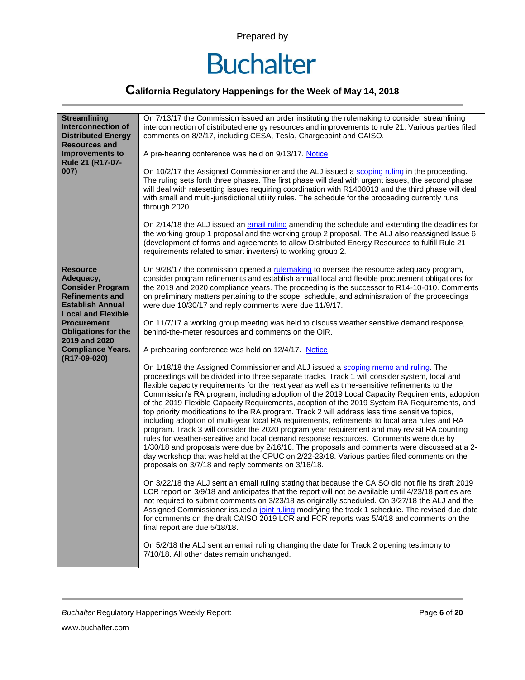

| <b>Streamlining</b>                                                                                                                       | On 7/13/17 the Commission issued an order instituting the rulemaking to consider streamlining                                                                                                                                                                                                                                                                                                                                                                                                                                                                                                                                                                                                                                                                                                                                                                                                                                                                                                                                                                                                                                             |
|-------------------------------------------------------------------------------------------------------------------------------------------|-------------------------------------------------------------------------------------------------------------------------------------------------------------------------------------------------------------------------------------------------------------------------------------------------------------------------------------------------------------------------------------------------------------------------------------------------------------------------------------------------------------------------------------------------------------------------------------------------------------------------------------------------------------------------------------------------------------------------------------------------------------------------------------------------------------------------------------------------------------------------------------------------------------------------------------------------------------------------------------------------------------------------------------------------------------------------------------------------------------------------------------------|
| Interconnection of                                                                                                                        | interconnection of distributed energy resources and improvements to rule 21. Various parties filed                                                                                                                                                                                                                                                                                                                                                                                                                                                                                                                                                                                                                                                                                                                                                                                                                                                                                                                                                                                                                                        |
| <b>Distributed Energy</b>                                                                                                                 | comments on 8/2/17, including CESA, Tesla, Chargepoint and CAISO.                                                                                                                                                                                                                                                                                                                                                                                                                                                                                                                                                                                                                                                                                                                                                                                                                                                                                                                                                                                                                                                                         |
| <b>Resources and</b>                                                                                                                      |                                                                                                                                                                                                                                                                                                                                                                                                                                                                                                                                                                                                                                                                                                                                                                                                                                                                                                                                                                                                                                                                                                                                           |
| <b>Improvements to</b><br>Rule 21 (R17-07-                                                                                                | A pre-hearing conference was held on 9/13/17. Notice                                                                                                                                                                                                                                                                                                                                                                                                                                                                                                                                                                                                                                                                                                                                                                                                                                                                                                                                                                                                                                                                                      |
| 007)                                                                                                                                      | On 10/2/17 the Assigned Commissioner and the ALJ issued a scoping ruling in the proceeding.<br>The ruling sets forth three phases. The first phase will deal with urgent issues, the second phase<br>will deal with ratesetting issues requiring coordination with R1408013 and the third phase will deal<br>with small and multi-jurisdictional utility rules. The schedule for the proceeding currently runs<br>through 2020.                                                                                                                                                                                                                                                                                                                                                                                                                                                                                                                                                                                                                                                                                                           |
|                                                                                                                                           | On 2/14/18 the ALJ issued an email ruling amending the schedule and extending the deadlines for<br>the working group 1 proposal and the working group 2 proposal. The ALJ also reassigned Issue 6<br>(development of forms and agreements to allow Distributed Energy Resources to fulfill Rule 21<br>requirements related to smart inverters) to working group 2.                                                                                                                                                                                                                                                                                                                                                                                                                                                                                                                                                                                                                                                                                                                                                                        |
| <b>Resource</b><br>Adequacy,<br><b>Consider Program</b><br><b>Refinements and</b><br><b>Establish Annual</b><br><b>Local and Flexible</b> | On 9/28/17 the commission opened a rulemaking to oversee the resource adequacy program,<br>consider program refinements and establish annual local and flexible procurement obligations for<br>the 2019 and 2020 compliance years. The proceeding is the successor to R14-10-010. Comments<br>on preliminary matters pertaining to the scope, schedule, and administration of the proceedings<br>were due 10/30/17 and reply comments were due 11/9/17.                                                                                                                                                                                                                                                                                                                                                                                                                                                                                                                                                                                                                                                                                   |
| <b>Procurement</b><br><b>Obligations for the</b><br>2019 and 2020                                                                         | On 11/7/17 a working group meeting was held to discuss weather sensitive demand response,<br>behind-the-meter resources and comments on the OIR.                                                                                                                                                                                                                                                                                                                                                                                                                                                                                                                                                                                                                                                                                                                                                                                                                                                                                                                                                                                          |
| <b>Compliance Years.</b><br>(R17-09-020)                                                                                                  | A prehearing conference was held on 12/4/17. Notice                                                                                                                                                                                                                                                                                                                                                                                                                                                                                                                                                                                                                                                                                                                                                                                                                                                                                                                                                                                                                                                                                       |
|                                                                                                                                           | On 1/18/18 the Assigned Commissioner and ALJ issued a scoping memo and ruling. The<br>proceedings will be divided into three separate tracks. Track 1 will consider system, local and<br>flexible capacity requirements for the next year as well as time-sensitive refinements to the<br>Commission's RA program, including adoption of the 2019 Local Capacity Requirements, adoption<br>of the 2019 Flexible Capacity Requirements, adoption of the 2019 System RA Requirements, and<br>top priority modifications to the RA program. Track 2 will address less time sensitive topics,<br>including adoption of multi-year local RA requirements, refinements to local area rules and RA<br>program. Track 3 will consider the 2020 program year requirement and may revisit RA counting<br>rules for weather-sensitive and local demand response resources. Comments were due by<br>1/30/18 and proposals were due by 2/16/18. The proposals and comments were discussed at a 2-<br>day workshop that was held at the CPUC on 2/22-23/18. Various parties filed comments on the<br>proposals on 3/7/18 and reply comments on 3/16/18. |
|                                                                                                                                           | On 3/22/18 the ALJ sent an email ruling stating that because the CAISO did not file its draft 2019<br>LCR report on 3/9/18 and anticipates that the report will not be available until 4/23/18 parties are<br>not required to submit comments on 3/23/18 as originally scheduled. On 3/27/18 the ALJ and the<br>Assigned Commissioner issued a joint ruling modifying the track 1 schedule. The revised due date<br>for comments on the draft CAISO 2019 LCR and FCR reports was 5/4/18 and comments on the<br>final report are due 5/18/18.                                                                                                                                                                                                                                                                                                                                                                                                                                                                                                                                                                                              |
|                                                                                                                                           | On 5/2/18 the ALJ sent an email ruling changing the date for Track 2 opening testimony to<br>7/10/18. All other dates remain unchanged.                                                                                                                                                                                                                                                                                                                                                                                                                                                                                                                                                                                                                                                                                                                                                                                                                                                                                                                                                                                                   |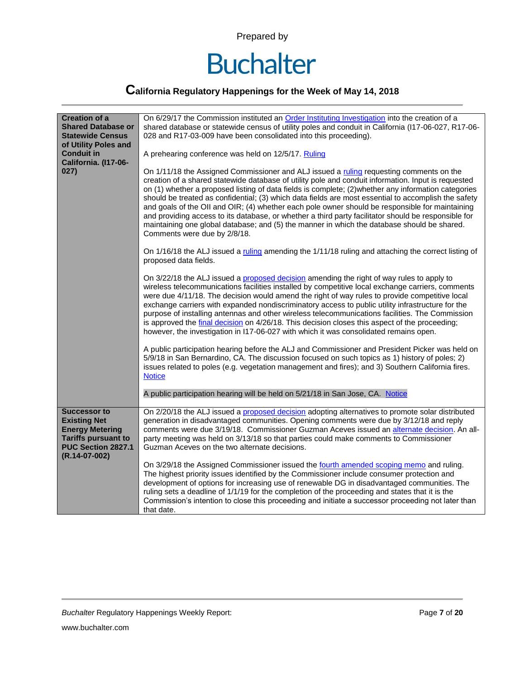

| <b>Creation of a</b><br><b>Shared Database or</b>                                                                                         | On 6/29/17 the Commission instituted an Order Instituting Investigation into the creation of a<br>shared database or statewide census of utility poles and conduit in California (117-06-027, R17-06-                                                                                                                                                                                                                                                                                                                                                                                                                                                                                                                                                    |
|-------------------------------------------------------------------------------------------------------------------------------------------|----------------------------------------------------------------------------------------------------------------------------------------------------------------------------------------------------------------------------------------------------------------------------------------------------------------------------------------------------------------------------------------------------------------------------------------------------------------------------------------------------------------------------------------------------------------------------------------------------------------------------------------------------------------------------------------------------------------------------------------------------------|
| <b>Statewide Census</b>                                                                                                                   | 028 and R17-03-009 have been consolidated into this proceeding).                                                                                                                                                                                                                                                                                                                                                                                                                                                                                                                                                                                                                                                                                         |
| of Utility Poles and<br><b>Conduit in</b><br>California. (I17-06-                                                                         | A prehearing conference was held on 12/5/17. Ruling                                                                                                                                                                                                                                                                                                                                                                                                                                                                                                                                                                                                                                                                                                      |
| 027)                                                                                                                                      | On 1/11/18 the Assigned Commissioner and ALJ issued a ruling requesting comments on the<br>creation of a shared statewide database of utility pole and conduit information. Input is requested<br>on (1) whether a proposed listing of data fields is complete; (2) whether any information categories<br>should be treated as confidential; (3) which data fields are most essential to accomplish the safety<br>and goals of the OII and OIR; (4) whether each pole owner should be responsible for maintaining<br>and providing access to its database, or whether a third party facilitator should be responsible for<br>maintaining one global database; and (5) the manner in which the database should be shared.<br>Comments were due by 2/8/18. |
|                                                                                                                                           | On 1/16/18 the ALJ issued a ruling amending the 1/11/18 ruling and attaching the correct listing of<br>proposed data fields.                                                                                                                                                                                                                                                                                                                                                                                                                                                                                                                                                                                                                             |
|                                                                                                                                           | On 3/22/18 the ALJ issued a proposed decision amending the right of way rules to apply to<br>wireless telecommunications facilities installed by competitive local exchange carriers, comments<br>were due 4/11/18. The decision would amend the right of way rules to provide competitive local<br>exchange carriers with expanded nondiscriminatory access to public utility infrastructure for the<br>purpose of installing antennas and other wireless telecommunications facilities. The Commission<br>is approved the final decision on 4/26/18. This decision closes this aspect of the proceeding;<br>however, the investigation in I17-06-027 with which it was consolidated remains open.                                                      |
|                                                                                                                                           | A public participation hearing before the ALJ and Commissioner and President Picker was held on<br>5/9/18 in San Bernardino, CA. The discussion focused on such topics as 1) history of poles; 2)<br>issues related to poles (e.g. vegetation management and fires); and 3) Southern California fires.<br><b>Notice</b>                                                                                                                                                                                                                                                                                                                                                                                                                                  |
|                                                                                                                                           | A public participation hearing will be held on 5/21/18 in San Jose, CA. Notice                                                                                                                                                                                                                                                                                                                                                                                                                                                                                                                                                                                                                                                                           |
| <b>Successor to</b><br><b>Existing Net</b><br><b>Energy Metering</b><br><b>Tariffs pursuant to</b><br>PUC Section 2827.1<br>(R.14-07-002) | On 2/20/18 the ALJ issued a proposed decision adopting alternatives to promote solar distributed<br>generation in disadvantaged communities. Opening comments were due by 3/12/18 and reply<br>comments were due 3/19/18. Commissioner Guzman Aceves issued an alternate decision. An all-<br>party meeting was held on 3/13/18 so that parties could make comments to Commissioner<br>Guzman Aceves on the two alternate decisions.                                                                                                                                                                                                                                                                                                                     |
|                                                                                                                                           | On 3/29/18 the Assigned Commissioner issued the fourth amended scoping memo and ruling.<br>The highest priority issues identified by the Commissioner include consumer protection and<br>development of options for increasing use of renewable DG in disadvantaged communities. The<br>ruling sets a deadline of 1/1/19 for the completion of the proceeding and states that it is the<br>Commission's intention to close this proceeding and initiate a successor proceeding not later than<br>that date.                                                                                                                                                                                                                                              |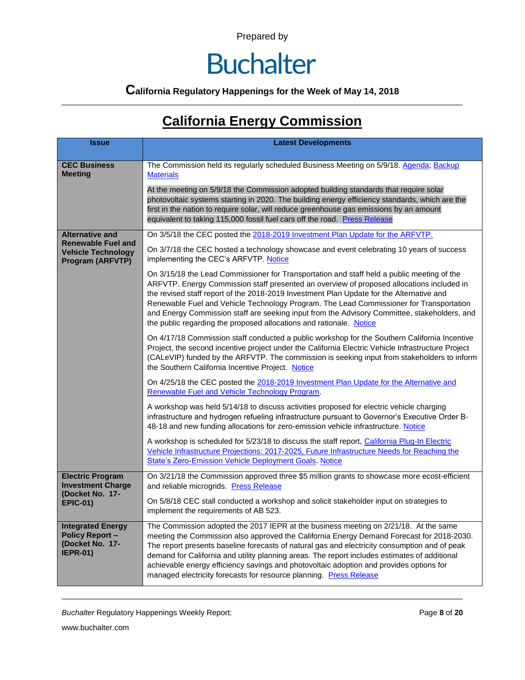## **Buchalter**

### **California Regulatory Happenings for the Week of May 14, 2018**

### **California Energy Commission**

| <b>Issue</b>                                                                             | <b>Latest Developments</b>                                                                                                                                                                                                                                                                                                                                                                                                                                                                                                                            |
|------------------------------------------------------------------------------------------|-------------------------------------------------------------------------------------------------------------------------------------------------------------------------------------------------------------------------------------------------------------------------------------------------------------------------------------------------------------------------------------------------------------------------------------------------------------------------------------------------------------------------------------------------------|
| <b>CEC Business</b><br><b>Meeting</b>                                                    | The Commission held its regularly scheduled Business Meeting on 5/9/18. Agenda; Backup<br><b>Materials</b>                                                                                                                                                                                                                                                                                                                                                                                                                                            |
|                                                                                          | At the meeting on 5/9/18 the Commission adopted building standards that require solar<br>photovoltaic systems starting in 2020. The building energy efficiency standards, which are the<br>first in the nation to require solar, will reduce greenhouse gas emissions by an amount<br>equivalent to taking 115,000 fossil fuel cars off the road. Press Release                                                                                                                                                                                       |
| <b>Alternative and</b>                                                                   | On 3/5/18 the CEC posted the 2018-2019 Investment Plan Update for the ARFVTP.                                                                                                                                                                                                                                                                                                                                                                                                                                                                         |
| <b>Renewable Fuel and</b><br><b>Vehicle Technology</b><br>Program (ARFVTP)               | On 3/7/18 the CEC hosted a technology showcase and event celebrating 10 years of success<br>implementing the CEC's ARFVTP. Notice                                                                                                                                                                                                                                                                                                                                                                                                                     |
|                                                                                          | On 3/15/18 the Lead Commissioner for Transportation and staff held a public meeting of the<br>ARFVTP. Energy Commission staff presented an overview of proposed allocations included in<br>the revised staff report of the 2018-2019 Investment Plan Update for the Alternative and<br>Renewable Fuel and Vehicle Technology Program. The Lead Commissioner for Transportation<br>and Energy Commission staff are seeking input from the Advisory Committee, stakeholders, and<br>the public regarding the proposed allocations and rationale. Notice |
|                                                                                          | On 4/17/18 Commission staff conducted a public workshop for the Southern California Incentive<br>Project, the second incentive project under the California Electric Vehicle Infrastructure Project<br>(CALeVIP) funded by the ARFVTP. The commission is seeking input from stakeholders to inform<br>the Southern California Incentive Project. Notice                                                                                                                                                                                               |
|                                                                                          | On 4/25/18 the CEC posted the 2018-2019 Investment Plan Update for the Alternative and<br>Renewable Fuel and Vehicle Technology Program.                                                                                                                                                                                                                                                                                                                                                                                                              |
|                                                                                          | A workshop was held 5/14/18 to discuss activities proposed for electric vehicle charging<br>infrastructure and hydrogen refueling infrastructure pursuant to Governor's Executive Order B-<br>48-18 and new funding allocations for zero-emission vehicle infrastructure. Notice                                                                                                                                                                                                                                                                      |
|                                                                                          | A workshop is scheduled for 5/23/18 to discuss the staff report, California Plug-In Electric<br>Vehicle Infrastructure Projections: 2017-2025, Future Infrastructure Needs for Reaching the<br><b>State's Zero-Emission Vehicle Deployment Goals. Notice</b>                                                                                                                                                                                                                                                                                          |
| <b>Electric Program</b><br><b>Investment Charge</b>                                      | On 3/21/18 the Commission approved three \$5 million grants to showcase more ecost-efficient<br>and reliable microgrids. Press Release                                                                                                                                                                                                                                                                                                                                                                                                                |
| (Docket No. 17-<br><b>EPIC-01)</b>                                                       | On 5/8/18 CEC stall conducted a workshop and solicit stakeholder input on strategies to<br>implement the requirements of AB 523.                                                                                                                                                                                                                                                                                                                                                                                                                      |
| <b>Integrated Energy</b><br><b>Policy Report -</b><br>(Docket No. 17-<br><b>IEPR-01)</b> | The Commission adopted the 2017 IEPR at the business meeting on 2/21/18. At the same<br>meeting the Commission also approved the California Energy Demand Forecast for 2018-2030.<br>The report presents baseline forecasts of natural gas and electricity consumption and of peak<br>demand for California and utility planning areas. The report includes estimates of additional<br>achievable energy efficiency savings and photovoltaic adoption and provides options for<br>managed electricity forecasts for resource planning. Press Release  |

**Buchalter Regulatory Happenings Weekly Report:** Page 8 of 20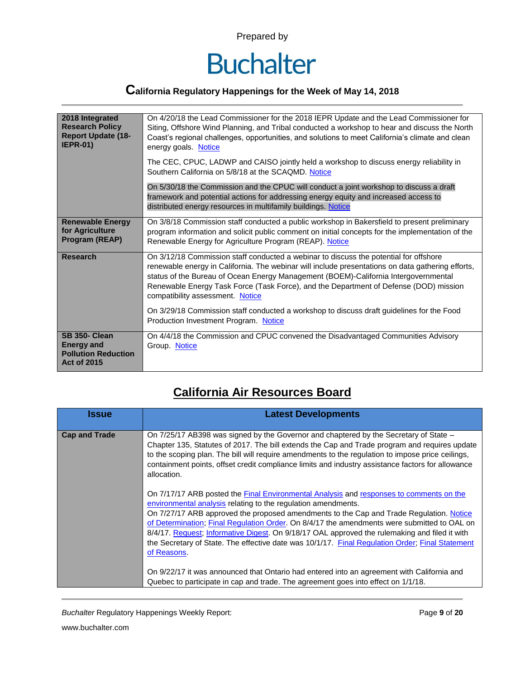

### **California Regulatory Happenings for the Week of May 14, 2018**

| 2018 Integrated<br><b>Research Policy</b><br><b>Report Update (18-</b><br><b>IEPR-01)</b>     | On 4/20/18 the Lead Commissioner for the 2018 IEPR Update and the Lead Commissioner for<br>Siting, Offshore Wind Planning, and Tribal conducted a workshop to hear and discuss the North<br>Coast's regional challenges, opportunities, and solutions to meet California's climate and clean<br>energy goals. Notice                                                                                           |
|-----------------------------------------------------------------------------------------------|----------------------------------------------------------------------------------------------------------------------------------------------------------------------------------------------------------------------------------------------------------------------------------------------------------------------------------------------------------------------------------------------------------------|
|                                                                                               | The CEC, CPUC, LADWP and CAISO jointly held a workshop to discuss energy reliability in<br>Southern California on 5/8/18 at the SCAQMD. Notice                                                                                                                                                                                                                                                                 |
|                                                                                               | On 5/30/18 the Commission and the CPUC will conduct a joint workshop to discuss a draft<br>framework and potential actions for addressing energy equity and increased access to<br>distributed energy resources in multifamily buildings. Notice                                                                                                                                                               |
| <b>Renewable Energy</b><br>for Agriculture<br><b>Program (REAP)</b>                           | On 3/8/18 Commission staff conducted a public workshop in Bakersfield to present preliminary<br>program information and solicit public comment on initial concepts for the implementation of the<br>Renewable Energy for Agriculture Program (REAP). Notice                                                                                                                                                    |
| <b>Research</b>                                                                               | On 3/12/18 Commission staff conducted a webinar to discuss the potential for offshore<br>renewable energy in California. The webinar will include presentations on data gathering efforts,<br>status of the Bureau of Ocean Energy Management (BOEM)-California Intergovernmental<br>Renewable Energy Task Force (Task Force), and the Department of Defense (DOD) mission<br>compatibility assessment. Notice |
|                                                                                               | On 3/29/18 Commission staff conducted a workshop to discuss draft guidelines for the Food<br>Production Investment Program. Notice                                                                                                                                                                                                                                                                             |
| <b>SB 350- Clean</b><br><b>Energy and</b><br><b>Pollution Reduction</b><br><b>Act of 2015</b> | On 4/4/18 the Commission and CPUC convened the Disadvantaged Communities Advisory<br>Group. Notice                                                                                                                                                                                                                                                                                                             |

### **California Air Resources Board**

| <b>Issue</b>         | <b>Latest Developments</b>                                                                                                                                                                                                                                                                                                                                                                                                                                                                                                                                            |
|----------------------|-----------------------------------------------------------------------------------------------------------------------------------------------------------------------------------------------------------------------------------------------------------------------------------------------------------------------------------------------------------------------------------------------------------------------------------------------------------------------------------------------------------------------------------------------------------------------|
| <b>Cap and Trade</b> | On 7/25/17 AB398 was signed by the Governor and chaptered by the Secretary of State -<br>Chapter 135, Statutes of 2017. The bill extends the Cap and Trade program and requires update<br>to the scoping plan. The bill will require amendments to the regulation to impose price ceilings,<br>containment points, offset credit compliance limits and industry assistance factors for allowance<br>allocation.                                                                                                                                                       |
|                      | On 7/17/17 ARB posted the Final Environmental Analysis and responses to comments on the<br>environmental analysis relating to the regulation amendments.<br>On 7/27/17 ARB approved the proposed amendments to the Cap and Trade Regulation. Notice<br>of Determination; Final Regulation Order. On 8/4/17 the amendments were submitted to OAL on<br>8/4/17. Request; Informative Digest. On 9/18/17 OAL approved the rulemaking and filed it with<br>the Secretary of State. The effective date was 10/1/17. Final Regulation Order; Final Statement<br>of Reasons. |
|                      | On 9/22/17 it was announced that Ontario had entered into an agreement with California and<br>Quebec to participate in cap and trade. The agreement goes into effect on 1/1/18.                                                                                                                                                                                                                                                                                                                                                                                       |

**Buchalter Regulatory Happenings Weekly Report:** Page 9 of 20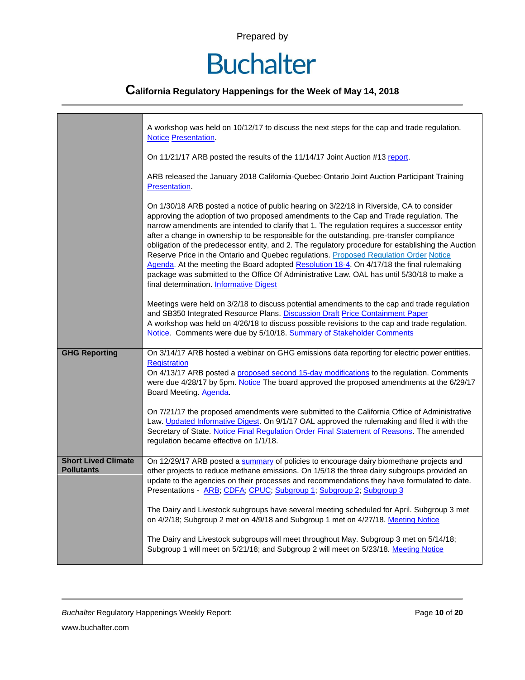# **Buchalter**

|                                                 | A workshop was held on 10/12/17 to discuss the next steps for the cap and trade regulation.<br><b>Notice Presentation.</b><br>On 11/21/17 ARB posted the results of the 11/14/17 Joint Auction #13 report.<br>ARB released the January 2018 California-Quebec-Ontario Joint Auction Participant Training<br>Presentation.                                                                                                                                                                                                                                                                                                                                                                                                                                                                                             |
|-------------------------------------------------|-----------------------------------------------------------------------------------------------------------------------------------------------------------------------------------------------------------------------------------------------------------------------------------------------------------------------------------------------------------------------------------------------------------------------------------------------------------------------------------------------------------------------------------------------------------------------------------------------------------------------------------------------------------------------------------------------------------------------------------------------------------------------------------------------------------------------|
|                                                 | On 1/30/18 ARB posted a notice of public hearing on 3/22/18 in Riverside, CA to consider<br>approving the adoption of two proposed amendments to the Cap and Trade regulation. The<br>narrow amendments are intended to clarify that 1. The regulation requires a successor entity<br>after a change in ownership to be responsible for the outstanding, pre-transfer compliance<br>obligation of the predecessor entity, and 2. The regulatory procedure for establishing the Auction<br>Reserve Price in the Ontario and Quebec regulations. Proposed Regulation Order Notice<br>Agenda. At the meeting the Board adopted Resolution 18-4. On 4/17/18 the final rulemaking<br>package was submitted to the Office Of Administrative Law. OAL has until 5/30/18 to make a<br>final determination. Informative Digest |
|                                                 | Meetings were held on 3/2/18 to discuss potential amendments to the cap and trade regulation<br>and SB350 Integrated Resource Plans. Discussion Draft Price Containment Paper<br>A workshop was held on 4/26/18 to discuss possible revisions to the cap and trade regulation.<br>Notice. Comments were due by 5/10/18. Summary of Stakeholder Comments                                                                                                                                                                                                                                                                                                                                                                                                                                                               |
| <b>GHG Reporting</b>                            | On 3/14/17 ARB hosted a webinar on GHG emissions data reporting for electric power entities.<br><b>Registration</b><br>On 4/13/17 ARB posted a proposed second 15-day modifications to the regulation. Comments<br>were due 4/28/17 by 5pm. Notice The board approved the proposed amendments at the 6/29/17<br>Board Meeting. Agenda.                                                                                                                                                                                                                                                                                                                                                                                                                                                                                |
|                                                 | On 7/21/17 the proposed amendments were submitted to the California Office of Administrative<br>Law. Updated Informative Digest. On 9/1/17 OAL approved the rulemaking and filed it with the<br>Secretary of State. Notice Final Regulation Order Final Statement of Reasons. The amended<br>regulation became effective on 1/1/18.                                                                                                                                                                                                                                                                                                                                                                                                                                                                                   |
| <b>Short Lived Climate</b><br><b>Pollutants</b> | On 12/29/17 ARB posted a summary of policies to encourage dairy biomethane projects and<br>other projects to reduce methane emissions. On 1/5/18 the three dairy subgroups provided an<br>update to the agencies on their processes and recommendations they have formulated to date.<br>Presentations - ARB; CDFA; CPUC; Subgroup 1; Subgroup 2; Subgroup 3                                                                                                                                                                                                                                                                                                                                                                                                                                                          |
|                                                 | The Dairy and Livestock subgroups have several meeting scheduled for April. Subgroup 3 met<br>on 4/2/18; Subgroup 2 met on 4/9/18 and Subgroup 1 met on 4/27/18. Meeting Notice                                                                                                                                                                                                                                                                                                                                                                                                                                                                                                                                                                                                                                       |
|                                                 | The Dairy and Livestock subgroups will meet throughout May. Subgroup 3 met on 5/14/18;<br>Subgroup 1 will meet on 5/21/18; and Subgroup 2 will meet on 5/23/18. Meeting Notice                                                                                                                                                                                                                                                                                                                                                                                                                                                                                                                                                                                                                                        |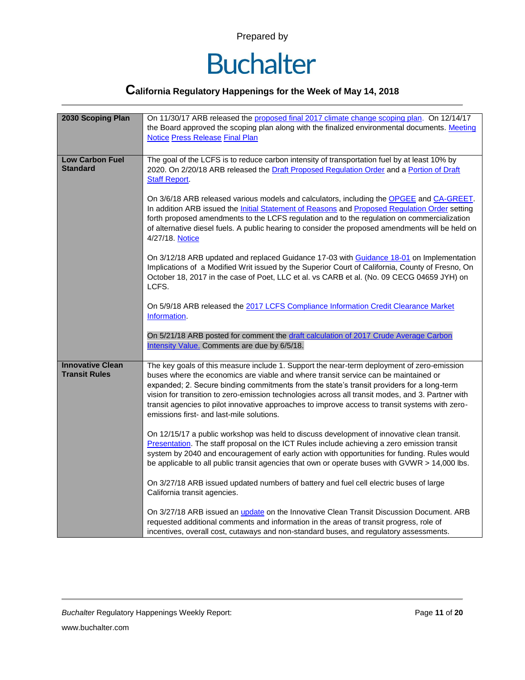

| 2030 Scoping Plan                               | On 11/30/17 ARB released the proposed final 2017 climate change scoping plan. On 12/14/17<br>the Board approved the scoping plan along with the finalized environmental documents. Meeting<br><b>Notice Press Release Final Plan</b>                                                                                                                                                                                                                                                                                                                                                                                                                                                                                                                                                                                                                                                                                                                                                                                                                      |
|-------------------------------------------------|-----------------------------------------------------------------------------------------------------------------------------------------------------------------------------------------------------------------------------------------------------------------------------------------------------------------------------------------------------------------------------------------------------------------------------------------------------------------------------------------------------------------------------------------------------------------------------------------------------------------------------------------------------------------------------------------------------------------------------------------------------------------------------------------------------------------------------------------------------------------------------------------------------------------------------------------------------------------------------------------------------------------------------------------------------------|
| <b>Low Carbon Fuel</b><br><b>Standard</b>       | The goal of the LCFS is to reduce carbon intensity of transportation fuel by at least 10% by<br>2020. On 2/20/18 ARB released the Draft Proposed Regulation Order and a Portion of Draft<br><b>Staff Report.</b><br>On 3/6/18 ARB released various models and calculators, including the OPGEE and CA-GREET.<br>In addition ARB issued the <i>Initial Statement of Reasons</i> and Proposed Regulation Order setting<br>forth proposed amendments to the LCFS regulation and to the regulation on commercialization<br>of alternative diesel fuels. A public hearing to consider the proposed amendments will be held on<br>4/27/18. Notice<br>On 3/12/18 ARB updated and replaced Guidance 17-03 with Guidance 18-01 on Implementation<br>Implications of a Modified Writ issued by the Superior Court of California, County of Fresno, On<br>October 18, 2017 in the case of Poet, LLC et al. vs CARB et al. (No. 09 CECG 04659 JYH) on<br>LCFS.<br>On 5/9/18 ARB released the 2017 LCFS Compliance Information Credit Clearance Market<br>Information. |
|                                                 | On 5/21/18 ARB posted for comment the draft calculation of 2017 Crude Average Carbon<br>Intensity Value. Comments are due by 6/5/18.                                                                                                                                                                                                                                                                                                                                                                                                                                                                                                                                                                                                                                                                                                                                                                                                                                                                                                                      |
| <b>Innovative Clean</b><br><b>Transit Rules</b> | The key goals of this measure include 1. Support the near-term deployment of zero-emission<br>buses where the economics are viable and where transit service can be maintained or<br>expanded; 2. Secure binding commitments from the state's transit providers for a long-term<br>vision for transition to zero-emission technologies across all transit modes, and 3. Partner with<br>transit agencies to pilot innovative approaches to improve access to transit systems with zero-<br>emissions first- and last-mile solutions.                                                                                                                                                                                                                                                                                                                                                                                                                                                                                                                      |
|                                                 | On 12/15/17 a public workshop was held to discuss development of innovative clean transit.<br>Presentation. The staff proposal on the ICT Rules include achieving a zero emission transit<br>system by 2040 and encouragement of early action with opportunities for funding. Rules would<br>be applicable to all public transit agencies that own or operate buses with GVWR > 14,000 lbs.                                                                                                                                                                                                                                                                                                                                                                                                                                                                                                                                                                                                                                                               |
|                                                 | On 3/27/18 ARB issued updated numbers of battery and fuel cell electric buses of large<br>California transit agencies.                                                                                                                                                                                                                                                                                                                                                                                                                                                                                                                                                                                                                                                                                                                                                                                                                                                                                                                                    |
|                                                 | On 3/27/18 ARB issued an <i>update</i> on the Innovative Clean Transit Discussion Document. ARB<br>requested additional comments and information in the areas of transit progress, role of<br>incentives, overall cost, cutaways and non-standard buses, and regulatory assessments.                                                                                                                                                                                                                                                                                                                                                                                                                                                                                                                                                                                                                                                                                                                                                                      |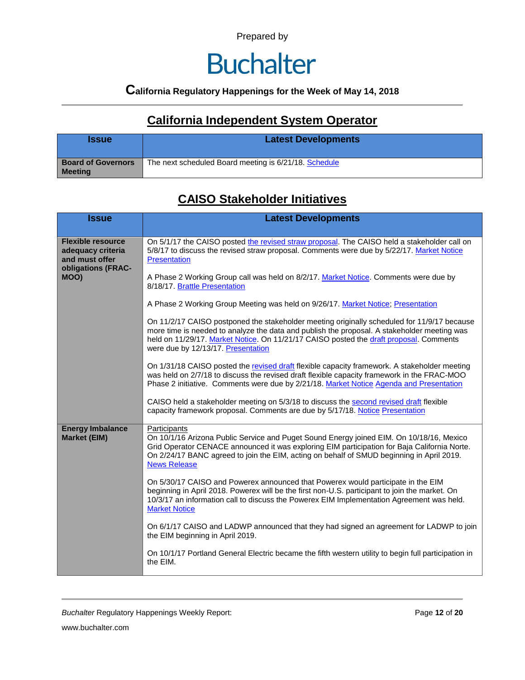## **Buchalter**

### **California Regulatory Happenings for the Week of May 14, 2018**

#### **California Independent System Operator**

| <b>Issue</b>                                | <b>Latest Developments</b>                            |
|---------------------------------------------|-------------------------------------------------------|
| <b>Board of Governors</b><br><b>Meeting</b> | The next scheduled Board meeting is 6/21/18. Schedule |

#### **CAISO Stakeholder Initiatives**

| <b>Issue</b>                                                                                  | <b>Latest Developments</b>                                                                                                                                                                                                                                                                                                   |  |  |  |  |
|-----------------------------------------------------------------------------------------------|------------------------------------------------------------------------------------------------------------------------------------------------------------------------------------------------------------------------------------------------------------------------------------------------------------------------------|--|--|--|--|
| <b>Flexible resource</b><br>adequacy criteria<br>and must offer<br>obligations (FRAC-<br>MOO) | On 5/1/17 the CAISO posted the revised straw proposal. The CAISO held a stakeholder call on<br>5/8/17 to discuss the revised straw proposal. Comments were due by 5/22/17. Market Notice<br><b>Presentation</b>                                                                                                              |  |  |  |  |
|                                                                                               | A Phase 2 Working Group call was held on 8/2/17. Market Notice. Comments were due by<br>8/18/17. Brattle Presentation                                                                                                                                                                                                        |  |  |  |  |
|                                                                                               | A Phase 2 Working Group Meeting was held on 9/26/17. Market Notice; Presentation                                                                                                                                                                                                                                             |  |  |  |  |
|                                                                                               | On 11/2/17 CAISO postponed the stakeholder meeting originally scheduled for 11/9/17 because<br>more time is needed to analyze the data and publish the proposal. A stakeholder meeting was<br>held on 11/29/17. Market Notice. On 11/21/17 CAISO posted the draft proposal. Comments<br>were due by 12/13/17. Presentation   |  |  |  |  |
|                                                                                               | On 1/31/18 CAISO posted the revised draft flexible capacity framework. A stakeholder meeting<br>was held on 2/7/18 to discuss the revised draft flexible capacity framework in the FRAC-MOO<br>Phase 2 initiative. Comments were due by 2/21/18. Market Notice Agenda and Presentation                                       |  |  |  |  |
|                                                                                               | CAISO held a stakeholder meeting on 5/3/18 to discuss the second revised draft flexible<br>capacity framework proposal. Comments are due by 5/17/18. Notice Presentation                                                                                                                                                     |  |  |  |  |
| <b>Energy Imbalance</b><br><b>Market (EIM)</b>                                                | Participants<br>On 10/1/16 Arizona Public Service and Puget Sound Energy joined EIM. On 10/18/16, Mexico<br>Grid Operator CENACE announced it was exploring EIM participation for Baja California Norte.<br>On 2/24/17 BANC agreed to join the EIM, acting on behalf of SMUD beginning in April 2019.<br><b>News Release</b> |  |  |  |  |
|                                                                                               | On 5/30/17 CAISO and Powerex announced that Powerex would participate in the EIM<br>beginning in April 2018. Powerex will be the first non-U.S. participant to join the market. On<br>10/3/17 an information call to discuss the Powerex EIM Implementation Agreement was held.<br><b>Market Notice</b>                      |  |  |  |  |
|                                                                                               | On 6/1/17 CAISO and LADWP announced that they had signed an agreement for LADWP to join<br>the EIM beginning in April 2019.                                                                                                                                                                                                  |  |  |  |  |
|                                                                                               | On 10/1/17 Portland General Electric became the fifth western utility to begin full participation in<br>the EIM.                                                                                                                                                                                                             |  |  |  |  |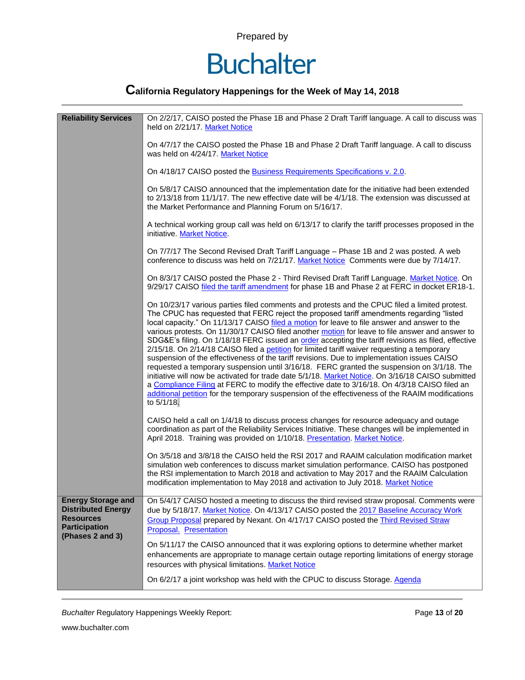# **Buchalter**

### **California Regulatory Happenings for the Week of May 14, 2018**

| <b>Reliability Services</b>                                                                                            | On 2/2/17, CAISO posted the Phase 1B and Phase 2 Draft Tariff language. A call to discuss was<br>held on 2/21/17. Market Notice                                                                                                                                                                                                                                                                                                                                                                                                                                                                                                                                                                                                                                                                                                                                                                                                                                                                                                                                                                                        |  |  |
|------------------------------------------------------------------------------------------------------------------------|------------------------------------------------------------------------------------------------------------------------------------------------------------------------------------------------------------------------------------------------------------------------------------------------------------------------------------------------------------------------------------------------------------------------------------------------------------------------------------------------------------------------------------------------------------------------------------------------------------------------------------------------------------------------------------------------------------------------------------------------------------------------------------------------------------------------------------------------------------------------------------------------------------------------------------------------------------------------------------------------------------------------------------------------------------------------------------------------------------------------|--|--|
|                                                                                                                        | On 4/7/17 the CAISO posted the Phase 1B and Phase 2 Draft Tariff language. A call to discuss<br>was held on 4/24/17. Market Notice                                                                                                                                                                                                                                                                                                                                                                                                                                                                                                                                                                                                                                                                                                                                                                                                                                                                                                                                                                                     |  |  |
|                                                                                                                        | On 4/18/17 CAISO posted the <b>Business Requirements Specifications v. 2.0</b> .                                                                                                                                                                                                                                                                                                                                                                                                                                                                                                                                                                                                                                                                                                                                                                                                                                                                                                                                                                                                                                       |  |  |
|                                                                                                                        | On 5/8/17 CAISO announced that the implementation date for the initiative had been extended<br>to 2/13/18 from 11/1/17. The new effective date will be 4/1/18. The extension was discussed at<br>the Market Performance and Planning Forum on 5/16/17.                                                                                                                                                                                                                                                                                                                                                                                                                                                                                                                                                                                                                                                                                                                                                                                                                                                                 |  |  |
|                                                                                                                        | A technical working group call was held on 6/13/17 to clarify the tariff processes proposed in the<br>initiative. Market Notice.                                                                                                                                                                                                                                                                                                                                                                                                                                                                                                                                                                                                                                                                                                                                                                                                                                                                                                                                                                                       |  |  |
|                                                                                                                        | On 7/7/17 The Second Revised Draft Tariff Language - Phase 1B and 2 was posted. A web<br>conference to discuss was held on 7/21/17. Market Notice Comments were due by 7/14/17.                                                                                                                                                                                                                                                                                                                                                                                                                                                                                                                                                                                                                                                                                                                                                                                                                                                                                                                                        |  |  |
|                                                                                                                        | On 8/3/17 CAISO posted the Phase 2 - Third Revised Draft Tariff Language. Market Notice. On<br>9/29/17 CAISO filed the tariff amendment for phase 1B and Phase 2 at FERC in docket ER18-1.                                                                                                                                                                                                                                                                                                                                                                                                                                                                                                                                                                                                                                                                                                                                                                                                                                                                                                                             |  |  |
|                                                                                                                        | On 10/23/17 various parties filed comments and protests and the CPUC filed a limited protest.<br>The CPUC has requested that FERC reject the proposed tariff amendments regarding "listed<br>local capacity." On 11/13/17 CAISO filed a motion for leave to file answer and answer to the<br>various protests. On 11/30/17 CAISO filed another motion for leave to file answer and answer to<br>SDG&E's filing. On 1/18/18 FERC issued an order accepting the tariff revisions as filed, effective<br>2/15/18. On 2/14/18 CAISO filed a petition for limited tariff waiver requesting a temporary<br>suspension of the effectiveness of the tariff revisions. Due to implementation issues CAISO<br>requested a temporary suspension until 3/16/18. FERC granted the suspension on 3/1/18. The<br>initiative will now be activated for trade date 5/1/18. Market Notice. On 3/16/18 CAISO submitted<br>a Compliance Filing at FERC to modify the effective date to 3/16/18. On 4/3/18 CAISO filed an<br>additional petition for the temporary suspension of the effectiveness of the RAAIM modifications<br>to 5/1/18. |  |  |
|                                                                                                                        | CAISO held a call on 1/4/18 to discuss process changes for resource adequacy and outage<br>coordination as part of the Reliability Services Initiative. These changes will be implemented in<br>April 2018. Training was provided on 1/10/18. Presentation. Market Notice.                                                                                                                                                                                                                                                                                                                                                                                                                                                                                                                                                                                                                                                                                                                                                                                                                                             |  |  |
|                                                                                                                        | On 3/5/18 and 3/8/18 the CAISO held the RSI 2017 and RAAIM calculation modification market<br>simulation web conferences to discuss market simulation performance. CAISO has postponed<br>the RSI implementation to March 2018 and activation to May 2017 and the RAAIM Calculation<br>modification implementation to May 2018 and activation to July 2018. Market Notice                                                                                                                                                                                                                                                                                                                                                                                                                                                                                                                                                                                                                                                                                                                                              |  |  |
| <b>Energy Storage and</b><br><b>Distributed Energy</b><br><b>Resources</b><br><b>Participation</b><br>(Phases 2 and 3) | On 5/4/17 CAISO hosted a meeting to discuss the third revised straw proposal. Comments were<br>due by 5/18/17. Market Notice. On 4/13/17 CAISO posted the 2017 Baseline Accuracy Work<br>Group Proposal prepared by Nexant. On 4/17/17 CAISO posted the Third Revised Straw<br>Proposal. Presentation                                                                                                                                                                                                                                                                                                                                                                                                                                                                                                                                                                                                                                                                                                                                                                                                                  |  |  |
|                                                                                                                        | On 5/11/17 the CAISO announced that it was exploring options to determine whether market<br>enhancements are appropriate to manage certain outage reporting limitations of energy storage<br>resources with physical limitations. Market Notice                                                                                                                                                                                                                                                                                                                                                                                                                                                                                                                                                                                                                                                                                                                                                                                                                                                                        |  |  |
|                                                                                                                        | On 6/2/17 a joint workshop was held with the CPUC to discuss Storage. Agenda                                                                                                                                                                                                                                                                                                                                                                                                                                                                                                                                                                                                                                                                                                                                                                                                                                                                                                                                                                                                                                           |  |  |

*Buchalter* Regulatory Happenings Weekly Report: Page **13** of **20**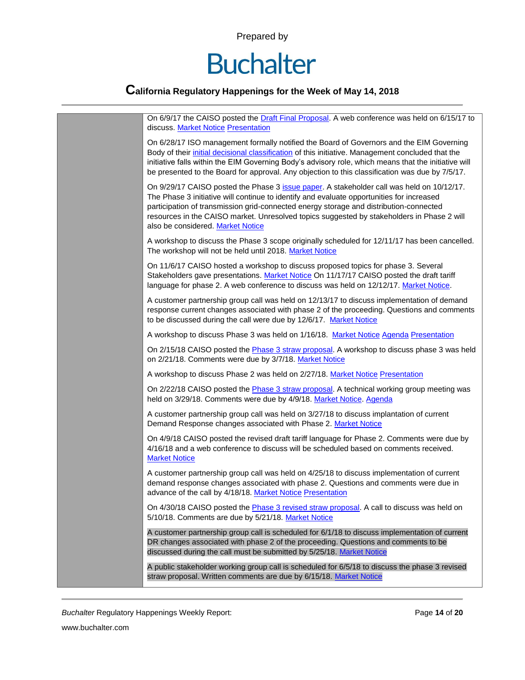

### **California Regulatory Happenings for the Week of May 14, 2018**

| On 6/9/17 the CAISO posted the Draft Final Proposal. A web conference was held on 6/15/17 to<br>discuss. Market Notice Presentation                                                                                                                                                                                                                                                                                 |
|---------------------------------------------------------------------------------------------------------------------------------------------------------------------------------------------------------------------------------------------------------------------------------------------------------------------------------------------------------------------------------------------------------------------|
| On 6/28/17 ISO management formally notified the Board of Governors and the EIM Governing<br>Body of their initial decisional classification of this initiative. Management concluded that the<br>initiative falls within the EIM Governing Body's advisory role, which means that the initiative will<br>be presented to the Board for approval. Any objection to this classification was due by 7/5/17.            |
| On 9/29/17 CAISO posted the Phase 3 issue paper. A stakeholder call was held on 10/12/17.<br>The Phase 3 initiative will continue to identify and evaluate opportunities for increased<br>participation of transmission grid-connected energy storage and distribution-connected<br>resources in the CAISO market. Unresolved topics suggested by stakeholders in Phase 2 will<br>also be considered. Market Notice |
| A workshop to discuss the Phase 3 scope originally scheduled for 12/11/17 has been cancelled.<br>The workshop will not be held until 2018. Market Notice                                                                                                                                                                                                                                                            |
| On 11/6/17 CAISO hosted a workshop to discuss proposed topics for phase 3. Several<br>Stakeholders gave presentations. Market Notice On 11/17/17 CAISO posted the draft tariff<br>language for phase 2. A web conference to discuss was held on 12/12/17. Market Notice.                                                                                                                                            |
| A customer partnership group call was held on 12/13/17 to discuss implementation of demand<br>response current changes associated with phase 2 of the proceeding. Questions and comments<br>to be discussed during the call were due by 12/6/17. Market Notice                                                                                                                                                      |
| A workshop to discuss Phase 3 was held on 1/16/18. Market Notice Agenda Presentation                                                                                                                                                                                                                                                                                                                                |
| On 2/15/18 CAISO posted the Phase 3 straw proposal. A workshop to discuss phase 3 was held<br>on 2/21/18. Comments were due by 3/7/18. Market Notice                                                                                                                                                                                                                                                                |
| A workshop to discuss Phase 2 was held on 2/27/18. Market Notice Presentation                                                                                                                                                                                                                                                                                                                                       |
| On 2/22/18 CAISO posted the Phase 3 straw proposal. A technical working group meeting was<br>held on 3/29/18. Comments were due by 4/9/18. Market Notice. Agenda                                                                                                                                                                                                                                                    |
| A customer partnership group call was held on 3/27/18 to discuss implantation of current<br>Demand Response changes associated with Phase 2. Market Notice                                                                                                                                                                                                                                                          |
| On 4/9/18 CAISO posted the revised draft tariff language for Phase 2. Comments were due by<br>4/16/18 and a web conference to discuss will be scheduled based on comments received.<br><b>Market Notice</b>                                                                                                                                                                                                         |
| A customer partnership group call was held on 4/25/18 to discuss implementation of current<br>demand response changes associated with phase 2. Questions and comments were due in<br>advance of the call by 4/18/18. Market Notice Presentation                                                                                                                                                                     |
| On 4/30/18 CAISO posted the Phase 3 revised straw proposal. A call to discuss was held on<br>5/10/18. Comments are due by 5/21/18. Market Notice                                                                                                                                                                                                                                                                    |
| A customer partnership group call is scheduled for 6/1/18 to discuss implementation of current<br>DR changes associated with phase 2 of the proceeding. Questions and comments to be<br>discussed during the call must be submitted by 5/25/18. Market Notice                                                                                                                                                       |
| A public stakeholder working group call is scheduled for 6/5/18 to discuss the phase 3 revised<br>straw proposal. Written comments are due by 6/15/18. Market Notice                                                                                                                                                                                                                                                |
|                                                                                                                                                                                                                                                                                                                                                                                                                     |

*Buchalter* Regulatory Happenings Weekly Report: Page **14** of **20**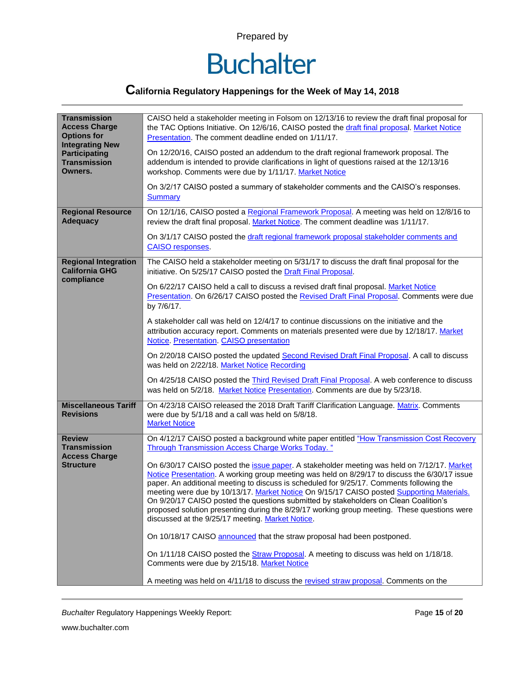

### **California Regulatory Happenings for the Week of May 14, 2018**

| <b>Transmission</b><br><b>Access Charge</b><br><b>Options for</b><br><b>Integrating New</b><br><b>Participating</b><br><b>Transmission</b><br>Owners. | CAISO held a stakeholder meeting in Folsom on 12/13/16 to review the draft final proposal for<br>the TAC Options Initiative. On 12/6/16, CAISO posted the draft final proposal. Market Notice<br>Presentation. The comment deadline ended on 1/11/17.<br>On 12/20/16, CAISO posted an addendum to the draft regional framework proposal. The<br>addendum is intended to provide clarifications in light of questions raised at the 12/13/16<br>workshop. Comments were due by 1/11/17. Market Notice                                                                                                                                                                                                                                                                                                                                                                                                                                                                                                                                                                                                |  |  |  |  |  |  |
|-------------------------------------------------------------------------------------------------------------------------------------------------------|-----------------------------------------------------------------------------------------------------------------------------------------------------------------------------------------------------------------------------------------------------------------------------------------------------------------------------------------------------------------------------------------------------------------------------------------------------------------------------------------------------------------------------------------------------------------------------------------------------------------------------------------------------------------------------------------------------------------------------------------------------------------------------------------------------------------------------------------------------------------------------------------------------------------------------------------------------------------------------------------------------------------------------------------------------------------------------------------------------|--|--|--|--|--|--|
|                                                                                                                                                       | On 3/2/17 CAISO posted a summary of stakeholder comments and the CAISO's responses.<br><b>Summary</b>                                                                                                                                                                                                                                                                                                                                                                                                                                                                                                                                                                                                                                                                                                                                                                                                                                                                                                                                                                                               |  |  |  |  |  |  |
| <b>Regional Resource</b><br><b>Adequacy</b>                                                                                                           | On 12/1/16, CAISO posted a Regional Framework Proposal. A meeting was held on 12/8/16 to<br>review the draft final proposal. Market Notice. The comment deadline was 1/11/17.                                                                                                                                                                                                                                                                                                                                                                                                                                                                                                                                                                                                                                                                                                                                                                                                                                                                                                                       |  |  |  |  |  |  |
|                                                                                                                                                       | On 3/1/17 CAISO posted the draft regional framework proposal stakeholder comments and<br><b>CAISO responses.</b>                                                                                                                                                                                                                                                                                                                                                                                                                                                                                                                                                                                                                                                                                                                                                                                                                                                                                                                                                                                    |  |  |  |  |  |  |
| <b>Regional Integration</b><br><b>California GHG</b>                                                                                                  | The CAISO held a stakeholder meeting on 5/31/17 to discuss the draft final proposal for the<br>initiative. On 5/25/17 CAISO posted the Draft Final Proposal.                                                                                                                                                                                                                                                                                                                                                                                                                                                                                                                                                                                                                                                                                                                                                                                                                                                                                                                                        |  |  |  |  |  |  |
| compliance                                                                                                                                            | On 6/22/17 CAISO held a call to discuss a revised draft final proposal. Market Notice<br>Presentation. On 6/26/17 CAISO posted the Revised Draft Final Proposal. Comments were due<br>by 7/6/17.                                                                                                                                                                                                                                                                                                                                                                                                                                                                                                                                                                                                                                                                                                                                                                                                                                                                                                    |  |  |  |  |  |  |
|                                                                                                                                                       | A stakeholder call was held on 12/4/17 to continue discussions on the initiative and the<br>attribution accuracy report. Comments on materials presented were due by 12/18/17. Market<br>Notice. Presentation. CAISO presentation                                                                                                                                                                                                                                                                                                                                                                                                                                                                                                                                                                                                                                                                                                                                                                                                                                                                   |  |  |  |  |  |  |
|                                                                                                                                                       | On 2/20/18 CAISO posted the updated Second Revised Draft Final Proposal. A call to discuss<br>was held on 2/22/18. Market Notice Recording                                                                                                                                                                                                                                                                                                                                                                                                                                                                                                                                                                                                                                                                                                                                                                                                                                                                                                                                                          |  |  |  |  |  |  |
|                                                                                                                                                       | On 4/25/18 CAISO posted the <i>Third Revised Draft Final Proposal</i> . A web conference to discuss<br>was held on 5/2/18. Market Notice Presentation. Comments are due by 5/23/18.                                                                                                                                                                                                                                                                                                                                                                                                                                                                                                                                                                                                                                                                                                                                                                                                                                                                                                                 |  |  |  |  |  |  |
| <b>Miscellaneous Tariff</b><br><b>Revisions</b>                                                                                                       | On 4/23/18 CAISO released the 2018 Draft Tariff Clarification Language. Matrix. Comments<br>were due by 5/1/18 and a call was held on 5/8/18.<br><b>Market Notice</b>                                                                                                                                                                                                                                                                                                                                                                                                                                                                                                                                                                                                                                                                                                                                                                                                                                                                                                                               |  |  |  |  |  |  |
| <b>Review</b><br><b>Transmission</b><br><b>Access Charge</b><br><b>Structure</b>                                                                      | On 4/12/17 CAISO posted a background white paper entitled "How Transmission Cost Recovery<br><b>Through Transmission Access Charge Works Today.</b> "<br>On 6/30/17 CAISO posted the issue paper. A stakeholder meeting was held on 7/12/17. Market<br>Notice Presentation. A working group meeting was held on 8/29/17 to discuss the 6/30/17 issue<br>paper. An additional meeting to discuss is scheduled for 9/25/17. Comments following the<br>meeting were due by 10/13/17. Market Notice On 9/15/17 CAISO posted Supporting Materials.<br>On 9/20/17 CAISO posted the questions submitted by stakeholders on Clean Coalition's<br>proposed solution presenting during the 8/29/17 working group meeting. These questions were<br>discussed at the 9/25/17 meeting. Market Notice.<br>On 10/18/17 CAISO announced that the straw proposal had been postponed.<br>On 1/11/18 CAISO posted the Straw Proposal. A meeting to discuss was held on 1/18/18.<br>Comments were due by 2/15/18. Market Notice<br>A meeting was held on 4/11/18 to discuss the revised straw proposal. Comments on the |  |  |  |  |  |  |

*Buchalter* Regulatory Happenings Weekly Report: Page **15** of **20**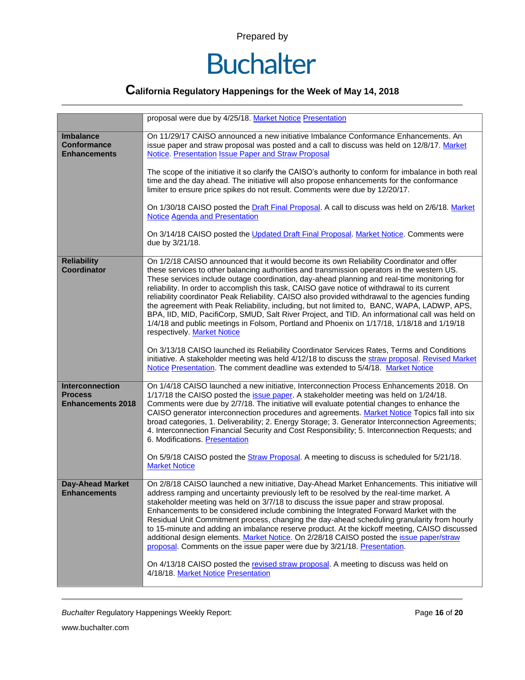

### **California Regulatory Happenings for the Week of May 14, 2018**

|                                                               | proposal were due by 4/25/18. Market Notice Presentation                                                                                                                                                                                                                                                                                                                                                                                                                                                                                                                                                                                                                                                                                                                                                                                                                                                                                                                                                                                                                                                        |
|---------------------------------------------------------------|-----------------------------------------------------------------------------------------------------------------------------------------------------------------------------------------------------------------------------------------------------------------------------------------------------------------------------------------------------------------------------------------------------------------------------------------------------------------------------------------------------------------------------------------------------------------------------------------------------------------------------------------------------------------------------------------------------------------------------------------------------------------------------------------------------------------------------------------------------------------------------------------------------------------------------------------------------------------------------------------------------------------------------------------------------------------------------------------------------------------|
| <b>Imbalance</b><br><b>Conformance</b><br><b>Enhancements</b> | On 11/29/17 CAISO announced a new initiative Imbalance Conformance Enhancements. An<br>issue paper and straw proposal was posted and a call to discuss was held on 12/8/17. Market<br>Notice. Presentation Issue Paper and Straw Proposal<br>The scope of the initiative it so clarify the CAISO's authority to conform for imbalance in both real<br>time and the day ahead. The initiative will also propose enhancements for the conformance<br>limiter to ensure price spikes do not result. Comments were due by 12/20/17.<br>On 1/30/18 CAISO posted the Draft Final Proposal. A call to discuss was held on 2/6/18. Market<br><b>Notice Agenda and Presentation</b><br>On 3/14/18 CAISO posted the Updated Draft Final Proposal. Market Notice. Comments were<br>due by 3/21/18.                                                                                                                                                                                                                                                                                                                         |
| <b>Reliability</b><br><b>Coordinator</b>                      | On 1/2/18 CAISO announced that it would become its own Reliability Coordinator and offer<br>these services to other balancing authorities and transmission operators in the western US.<br>These services include outage coordination, day-ahead planning and real-time monitoring for<br>reliability. In order to accomplish this task, CAISO gave notice of withdrawal to its current<br>reliability coordinator Peak Reliability. CAISO also provided withdrawal to the agencies funding<br>the agreement with Peak Reliability, including, but not limited to, BANC, WAPA, LADWP, APS,<br>BPA, IID, MID, PacifiCorp, SMUD, Salt River Project, and TID. An informational call was held on<br>1/4/18 and public meetings in Folsom, Portland and Phoenix on 1/17/18, 1/18/18 and 1/19/18<br>respectively. Market Notice<br>On 3/13/18 CAISO launched its Reliability Coordinator Services Rates, Terms and Conditions<br>initiative. A stakeholder meeting was held 4/12/18 to discuss the straw proposal. Revised Market<br>Notice Presentation. The comment deadline was extended to 5/4/18. Market Notice |
| Interconnection<br><b>Process</b><br><b>Enhancements 2018</b> | On 1/4/18 CAISO launched a new initiative, Interconnection Process Enhancements 2018. On<br>1/17/18 the CAISO posted the <i>issue paper</i> . A stakeholder meeting was held on 1/24/18.<br>Comments were due by 2/7/18. The initiative will evaluate potential changes to enhance the<br>CAISO generator interconnection procedures and agreements. Market Notice Topics fall into six<br>broad categories, 1. Deliverability; 2. Energy Storage; 3. Generator Interconnection Agreements;<br>4. Interconnection Financial Security and Cost Responsibility; 5. Interconnection Requests; and<br>6. Modifications. Presentation<br>On 5/9/18 CAISO posted the Straw Proposal. A meeting to discuss is scheduled for 5/21/18.<br><b>Market Notice</b>                                                                                                                                                                                                                                                                                                                                                           |
| <b>Day-Ahead Market</b><br><b>Enhancements</b>                | On 2/8/18 CAISO launched a new initiative, Day-Ahead Market Enhancements. This initiative will<br>address ramping and uncertainty previously left to be resolved by the real-time market. A<br>stakeholder meeting was held on 3/7/18 to discuss the issue paper and straw proposal.<br>Enhancements to be considered include combining the Integrated Forward Market with the<br>Residual Unit Commitment process, changing the day-ahead scheduling granularity from hourly<br>to 15-minute and adding an imbalance reserve product. At the kickoff meeting, CAISO discussed<br>additional design elements. Market Notice. On 2/28/18 CAISO posted the issue paper/straw<br>proposal. Comments on the issue paper were due by 3/21/18. Presentation.<br>On 4/13/18 CAISO posted the revised straw proposal. A meeting to discuss was held on<br>4/18/18. Market Notice Presentation                                                                                                                                                                                                                           |

*Buchalter* Regulatory Happenings Weekly Report: Page **16** of **20**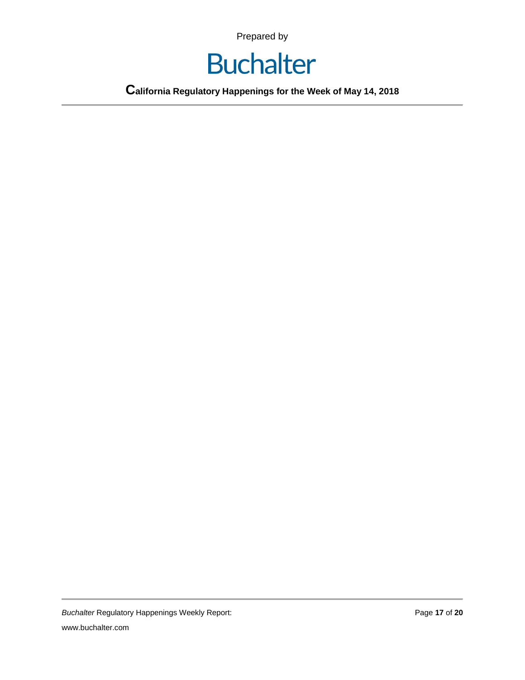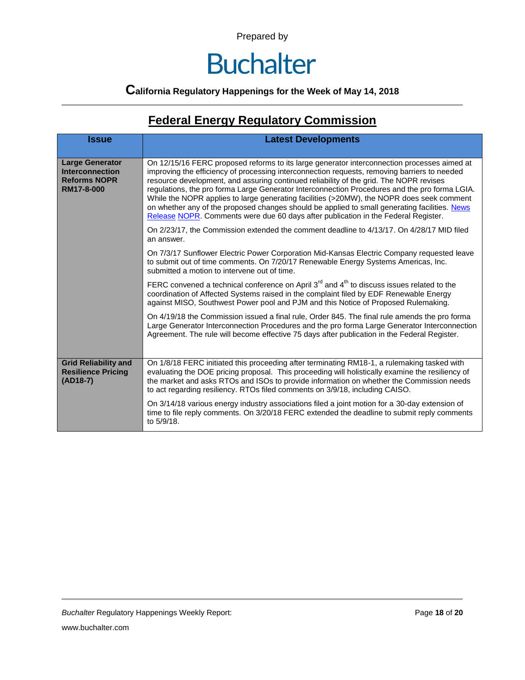## **Buchalter**

### **California Regulatory Happenings for the Week of May 14, 2018**

### **Federal Energy Regulatory Commission**

| <b>Issue</b>                                                                          | <b>Latest Developments</b>                                                                                                                                                                                                                                                                                                                                                                                                                                                                                                                                                                                                                                                 |  |  |  |
|---------------------------------------------------------------------------------------|----------------------------------------------------------------------------------------------------------------------------------------------------------------------------------------------------------------------------------------------------------------------------------------------------------------------------------------------------------------------------------------------------------------------------------------------------------------------------------------------------------------------------------------------------------------------------------------------------------------------------------------------------------------------------|--|--|--|
| <b>Large Generator</b><br><b>Interconnection</b><br><b>Reforms NOPR</b><br>RM17-8-000 | On 12/15/16 FERC proposed reforms to its large generator interconnection processes aimed at<br>improving the efficiency of processing interconnection requests, removing barriers to needed<br>resource development, and assuring continued reliability of the grid. The NOPR revises<br>regulations, the pro forma Large Generator Interconnection Procedures and the pro forma LGIA.<br>While the NOPR applies to large generating facilities (>20MW), the NOPR does seek comment<br>on whether any of the proposed changes should be applied to small generating facilities. News<br>Release NOPR. Comments were due 60 days after publication in the Federal Register. |  |  |  |
|                                                                                       | On 2/23/17, the Commission extended the comment deadline to 4/13/17. On 4/28/17 MID filed<br>an answer.                                                                                                                                                                                                                                                                                                                                                                                                                                                                                                                                                                    |  |  |  |
|                                                                                       | On 7/3/17 Sunflower Electric Power Corporation Mid-Kansas Electric Company requested leave<br>to submit out of time comments. On 7/20/17 Renewable Energy Systems Americas, Inc.<br>submitted a motion to intervene out of time.                                                                                                                                                                                                                                                                                                                                                                                                                                           |  |  |  |
|                                                                                       | FERC convened a technical conference on April 3 <sup>rd</sup> and 4 <sup>th</sup> to discuss issues related to the<br>coordination of Affected Systems raised in the complaint filed by EDF Renewable Energy<br>against MISO, Southwest Power pool and PJM and this Notice of Proposed Rulemaking.                                                                                                                                                                                                                                                                                                                                                                         |  |  |  |
|                                                                                       | On 4/19/18 the Commission issued a final rule, Order 845. The final rule amends the pro forma<br>Large Generator Interconnection Procedures and the pro forma Large Generator Interconnection<br>Agreement. The rule will become effective 75 days after publication in the Federal Register.                                                                                                                                                                                                                                                                                                                                                                              |  |  |  |
| <b>Grid Reliability and</b><br><b>Resilience Pricing</b><br>$(AD18-7)$                | On 1/8/18 FERC initiated this proceeding after terminating RM18-1, a rulemaking tasked with<br>evaluating the DOE pricing proposal. This proceeding will holistically examine the resiliency of<br>the market and asks RTOs and ISOs to provide information on whether the Commission needs<br>to act regarding resiliency. RTOs filed comments on 3/9/18, including CAISO.                                                                                                                                                                                                                                                                                                |  |  |  |
|                                                                                       | On 3/14/18 various energy industry associations filed a joint motion for a 30-day extension of<br>time to file reply comments. On 3/20/18 FERC extended the deadline to submit reply comments<br>to 5/9/18.                                                                                                                                                                                                                                                                                                                                                                                                                                                                |  |  |  |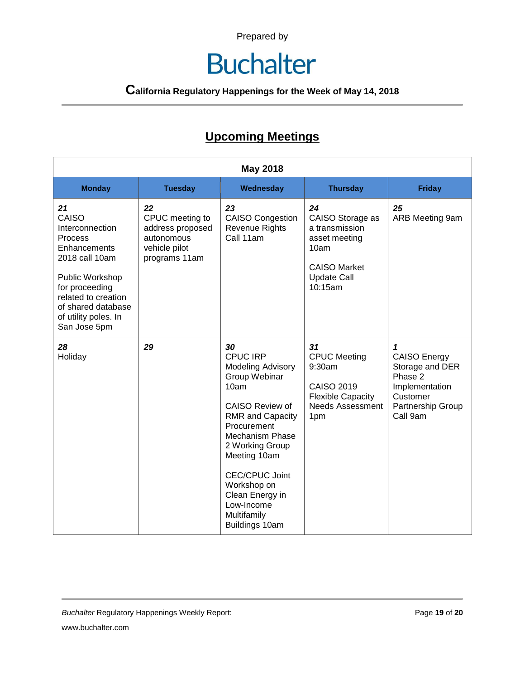## **Buchalter**

### **California Regulatory Happenings for the Week of May 14, 2018**

### **Upcoming Meetings**

| <b>May 2018</b>                                                                                                                                                                                              |                                                                                           |                                                                                                                                                                                                                                                                                                                |                                                                                                                           |                                                                                                                       |  |
|--------------------------------------------------------------------------------------------------------------------------------------------------------------------------------------------------------------|-------------------------------------------------------------------------------------------|----------------------------------------------------------------------------------------------------------------------------------------------------------------------------------------------------------------------------------------------------------------------------------------------------------------|---------------------------------------------------------------------------------------------------------------------------|-----------------------------------------------------------------------------------------------------------------------|--|
| <b>Monday</b>                                                                                                                                                                                                | <b>Tuesday</b>                                                                            | Wednesday                                                                                                                                                                                                                                                                                                      | <b>Thursday</b>                                                                                                           | <b>Friday</b>                                                                                                         |  |
| 21<br>CAISO<br>Interconnection<br><b>Process</b><br>Enhancements<br>2018 call 10am<br>Public Workshop<br>for proceeding<br>related to creation<br>of shared database<br>of utility poles. In<br>San Jose 5pm | 22<br>CPUC meeting to<br>address proposed<br>autonomous<br>vehicle pilot<br>programs 11am | 23<br><b>CAISO Congestion</b><br>Revenue Rights<br>Call 11am                                                                                                                                                                                                                                                   | 24<br>CAISO Storage as<br>a transmission<br>asset meeting<br>10am<br><b>CAISO Market</b><br><b>Update Call</b><br>10:15am | 25<br>ARB Meeting 9am                                                                                                 |  |
| 28<br>Holiday                                                                                                                                                                                                | 29                                                                                        | 30<br><b>CPUC IRP</b><br><b>Modeling Advisory</b><br>Group Webinar<br>10am<br><b>CAISO Review of</b><br>RMR and Capacity<br>Procurement<br><b>Mechanism Phase</b><br>2 Working Group<br>Meeting 10am<br><b>CEC/CPUC Joint</b><br>Workshop on<br>Clean Energy in<br>Low-Income<br>Multifamily<br>Buildings 10am | 31<br><b>CPUC Meeting</b><br>9:30am<br><b>CAISO 2019</b><br><b>Flexible Capacity</b><br><b>Needs Assessment</b><br>1pm    | 1<br><b>CAISO Energy</b><br>Storage and DER<br>Phase 2<br>Implementation<br>Customer<br>Partnership Group<br>Call 9am |  |